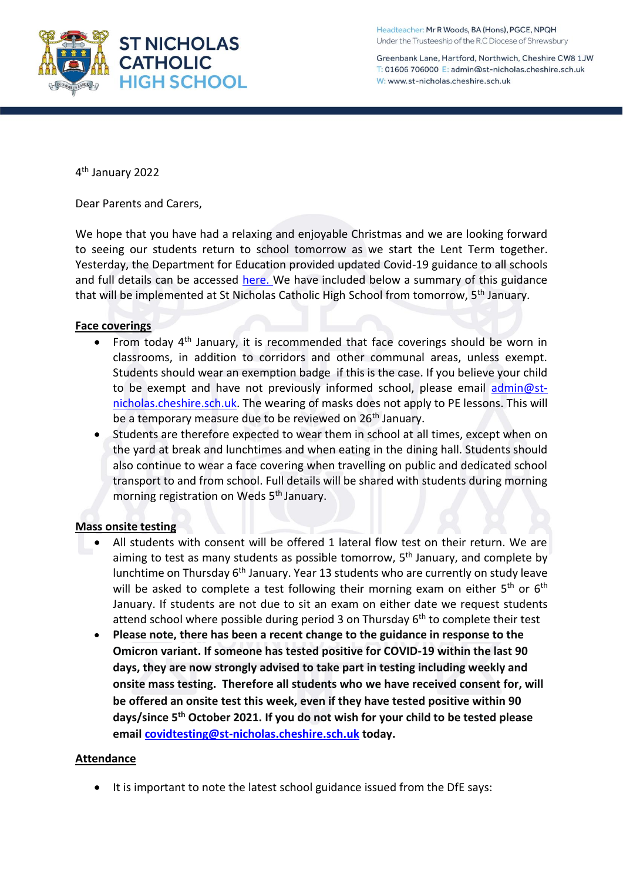Greenbank Lane, Hartford, Northwich, Cheshire CW8 1JW T: 01606 706000 E: admin@st-nicholas.cheshire.sch.uk W: www.st-nicholas.cheshire.sch.uk

4 th January 2022

Dear Parents and Carers,

We hope that you have had a relaxing and enjoyable Christmas and we are looking forward to seeing our students return to school tomorrow as we start the Lent Term together. Yesterday, the Department for Education provided updated Covid-19 guidance to all schools and full details can be accessed [here.](https://assets.publishing.service.gov.uk/government/uploads/system/uploads/attachment_data/file/1044530/Schools_guidance_Jan_22.pdf) We have included below a summary of this guidance that will be implemented at St Nicholas Catholic High School from tomorrow, 5<sup>th</sup> January.

# **Face coverings**

- From today 4<sup>th</sup> January, it is recommended that face coverings should be worn in classrooms, in addition to corridors and other communal areas, unless exempt. Students should wear an exemption badge if this is the case. If you believe your child to be exempt and have not previously informed school, please email [admin@st](mailto:admin@st-nicholas.cheshire.sch.uk)[nicholas.cheshire.sch.uk.](mailto:admin@st-nicholas.cheshire.sch.uk) The wearing of masks does not apply to PE lessons. This will be a temporary measure due to be reviewed on 26<sup>th</sup> January.
- Students are therefore expected to wear them in school at all times, except when on the yard at break and lunchtimes and when eating in the dining hall. Students should also continue to wear a face covering when travelling on public and dedicated school transport to and from school. Full details will be shared with students during morning morning registration on Weds 5<sup>th</sup> January.

### **Mass onsite testing**

- All students with consent will be offered 1 lateral flow test on their return. We are aiming to test as many students as possible tomorrow,  $5<sup>th</sup>$  January, and complete by lunchtime on Thursday 6<sup>th</sup> January. Year 13 students who are currently on study leave will be asked to complete a test following their morning exam on either  $5^{th}$  or  $6^{th}$ January. If students are not due to sit an exam on either date we request students attend school where possible during period 3 on Thursday 6<sup>th</sup> to complete their test
- **Please note, there has been a recent change to the guidance in response to the Omicron variant. If someone has tested positive for COVID-19 within the last 90 days, they are now strongly advised to take part in testing including weekly and onsite mass testing. Therefore all students who we have received consent for, will be offered an onsite test this week, even if they have tested positive within 90 days/since 5th October 2021. If you do not wish for your child to be tested please email [covidtesting@st-nicholas.cheshire.sch.uk](mailto:covidtesting@st-nicholas.cheshire.sch.uk) today.**

### **Attendance**

• It is important to note the latest school guidance issued from the DfE says: